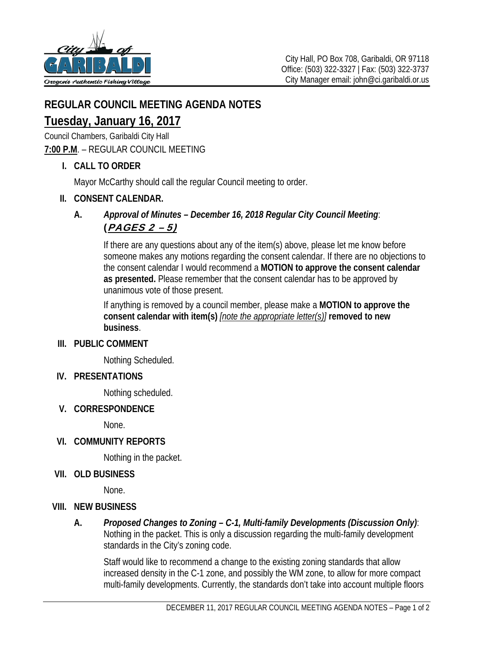

## **REGULAR COUNCIL MEETING AGENDA NOTES**

# **Tuesday, January 16, 2017**

Council Chambers, Garibaldi City Hall

#### **7:00 P.M**. – REGULAR COUNCIL MEETING

 **I. CALL TO ORDER** 

Mayor McCarthy should call the regular Council meeting to order.

#### **II. CONSENT CALENDAR.**

#### **A.** *Approval of Minutes – December 16, 2018 Regular City Council Meeting*: (PAGES 2 – 5)

 If there are any questions about any of the item(s) above, please let me know before someone makes any motions regarding the consent calendar. If there are no objections to the consent calendar I would recommend a **MOTION to approve the consent calendar as presented.** Please remember that the consent calendar has to be approved by unanimous vote of those present.

 If anything is removed by a council member, please make a **MOTION to approve the consent calendar with item(s)** *[note the appropriate letter(s)]* **removed to new business**.

#### **III. PUBLIC COMMENT**

Nothing Scheduled.

#### **IV. PRESENTATIONS**

Nothing scheduled.

#### **V. CORRESPONDENCE**

None.

 **VI. COMMUNITY REPORTS** 

Nothing in the packet.

#### **VII. OLD BUSINESS**

None.

#### **VIII. NEW BUSINESS**

**A.** *Proposed Changes to Zoning – C-1, Multi-family Developments (Discussion Only)*: Nothing in the packet. This is only a discussion regarding the multi-family development standards in the City's zoning code.

Staff would like to recommend a change to the existing zoning standards that allow increased density in the C-1 zone, and possibly the WM zone, to allow for more compact multi-family developments. Currently, the standards don't take into account multiple floors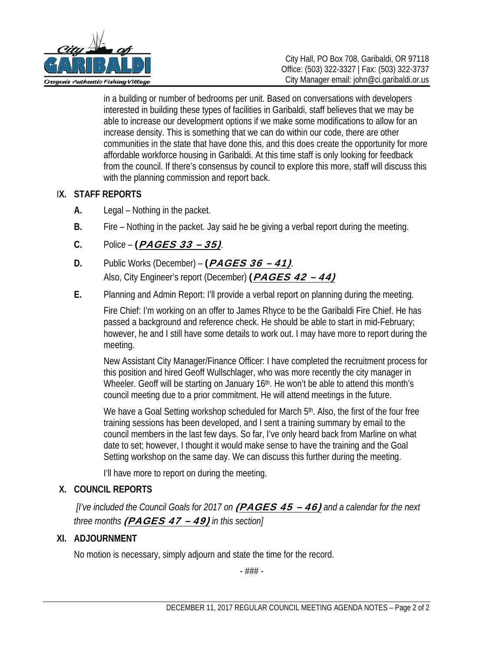

in a building or number of bedrooms per unit. Based on conversations with developers interested in building these types of facilities in Garibaldi, staff believes that we may be able to increase our development options if we make some modifications to allow for an increase density. This is something that we can do within our code, there are other communities in the state that have done this, and this does create the opportunity for more affordable workforce housing in Garibaldi. At this time staff is only looking for feedback from the council. If there's consensus by council to explore this more, staff will discuss this with the planning commission and report back.

#### I**X. STAFF REPORTS**

- **A.** Legal Nothing in the packet.
- **B.** Fire Nothing in the packet. Jay said he be giving a verbal report during the meeting.
- **C.** Police (PAGES 33 35).
- **D.** Public Works (December) (PAGES 36 41). Also, City Engineer's report (December) (PAGES 42 - 44)
- **E.** Planning and Admin Report: I'll provide a verbal report on planning during the meeting.

Fire Chief: I'm working on an offer to James Rhyce to be the Garibaldi Fire Chief. He has passed a background and reference check. He should be able to start in mid-February; however, he and I still have some details to work out. I may have more to report during the meeting.

New Assistant City Manager/Finance Officer: I have completed the recruitment process for this position and hired Geoff Wullschlager, who was more recently the city manager in Wheeler. Geoff will be starting on January 16<sup>th</sup>. He won't be able to attend this month's council meeting due to a prior commitment. He will attend meetings in the future.

We have a Goal Setting workshop scheduled for March 5<sup>th</sup>. Also, the first of the four free training sessions has been developed, and I sent a training summary by email to the council members in the last few days. So far, I've only heard back from Marline on what date to set; however, I thought it would make sense to have the training and the Goal Setting workshop on the same day. We can discuss this further during the meeting.

I'll have more to report on during the meeting.

### **X. COUNCIL REPORTS**

 *[I've included the Council Goals for 2017 on* (PAGES 45 – 46) *and a calendar for the next three months* (PAGES 47 – 49) *in this section]*

### **XI. ADJOURNMENT**

No motion is necessary, simply adjourn and state the time for the record.

- ### -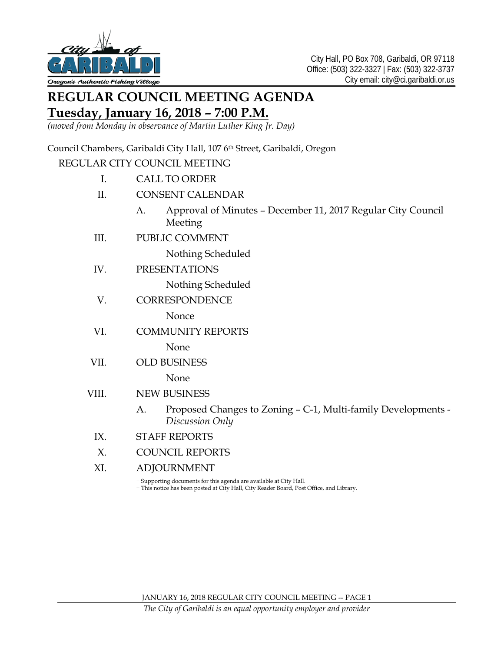

# **REGULAR COUNCIL MEETING AGENDA**

# **Tuesday, January 16, 2018 – 7:00 P.M.**

*(moved from Monday in observance of Martin Luther King Jr. Day)*

Council Chambers, Garibaldi City Hall, 107 6<sup>th</sup> Street, Garibaldi, Oregon

#### REGULAR CITY COUNCIL MEETING

- I. CALL TO ORDER
- II. CONSENT CALENDAR
	- A. Approval of Minutes December 11, 2017 Regular City Council Meeting
- III. PUBLIC COMMENT

Nothing Scheduled

IV. PRESENTATIONS

Nothing Scheduled

V. CORRESPONDENCE

Nonce

VI. COMMUNITY REPORTS

None

VII. OLD BUSINESS

None

- VIII. NEW BUSINESS
	- A. Proposed Changes to Zoning C-1, Multi-family Developments *Discussion Only*
	- IX. STAFF REPORTS
	- X. COUNCIL REPORTS
	- XI. ADJOURNMENT

+ Supporting documents for this agenda are available at City Hall.

+ This notice has been posted at City Hall, City Reader Board, Post Office, and Library.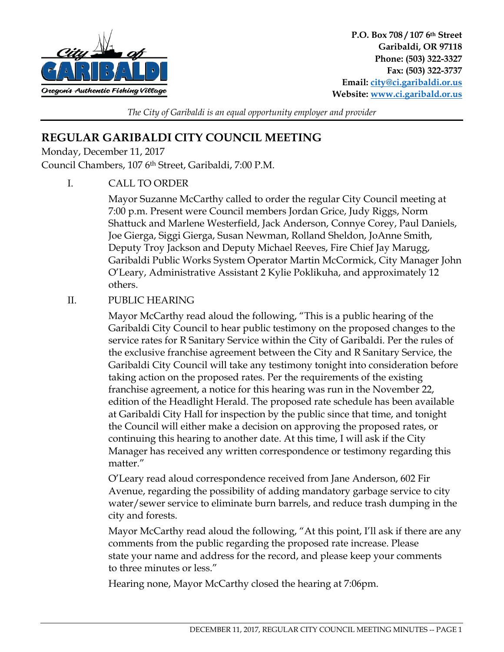

**P.O. Box 708 / 107 6th Street Garibaldi, OR 97118 Phone: (503) 322-3327 Fax: (503) 322-3737 Email: city@ci.garibaldi.or.us Website: www.ci.garibald.or.us**

*The City of Garibaldi is an equal opportunity employer and provider* 

# **REGULAR GARIBALDI CITY COUNCIL MEETING**

Monday, December 11, 2017

Council Chambers, 107 6th Street, Garibaldi, 7:00 P.M.

I. CALL TO ORDER

Mayor Suzanne McCarthy called to order the regular City Council meeting at 7:00 p.m. Present were Council members Jordan Grice, Judy Riggs, Norm Shattuck and Marlene Westerfield, Jack Anderson, Connye Corey, Paul Daniels, Joe Gierga, Siggi Gierga, Susan Newman, Rolland Sheldon, JoAnne Smith, Deputy Troy Jackson and Deputy Michael Reeves, Fire Chief Jay Marugg, Garibaldi Public Works System Operator Martin McCormick, City Manager John O'Leary, Administrative Assistant 2 Kylie Poklikuha, and approximately 12 others.

### II. PUBLIC HEARING

Mayor McCarthy read aloud the following, "This is a public hearing of the Garibaldi City Council to hear public testimony on the proposed changes to the service rates for R Sanitary Service within the City of Garibaldi. Per the rules of the exclusive franchise agreement between the City and R Sanitary Service, the Garibaldi City Council will take any testimony tonight into consideration before taking action on the proposed rates. Per the requirements of the existing franchise agreement, a notice for this hearing was run in the November 22, edition of the Headlight Herald. The proposed rate schedule has been available at Garibaldi City Hall for inspection by the public since that time, and tonight the Council will either make a decision on approving the proposed rates, or continuing this hearing to another date. At this time, I will ask if the City Manager has received any written correspondence or testimony regarding this matter."

O'Leary read aloud correspondence received from Jane Anderson, 602 Fir Avenue, regarding the possibility of adding mandatory garbage service to city water/sewer service to eliminate burn barrels, and reduce trash dumping in the city and forests.

Mayor McCarthy read aloud the following, "At this point, I'll ask if there are any comments from the public regarding the proposed rate increase. Please state your name and address for the record, and please keep your comments to three minutes or less."

Hearing none, Mayor McCarthy closed the hearing at 7:06pm.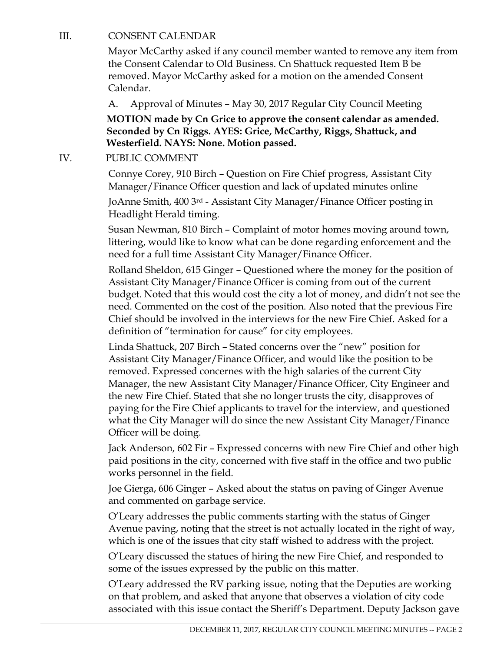#### III. CONSENT CALENDAR

Mayor McCarthy asked if any council member wanted to remove any item from the Consent Calendar to Old Business. Cn Shattuck requested Item B be removed. Mayor McCarthy asked for a motion on the amended Consent Calendar.

A. Approval of Minutes – May 30, 2017 Regular City Council Meeting

**MOTION made by Cn Grice to approve the consent calendar as amended. Seconded by Cn Riggs. AYES: Grice, McCarthy, Riggs, Shattuck, and Westerfield. NAYS: None. Motion passed.** 

#### IV. PUBLIC COMMENT

Connye Corey, 910 Birch – Question on Fire Chief progress, Assistant City Manager/Finance Officer question and lack of updated minutes online

JoAnne Smith, 400 3rd - Assistant City Manager/Finance Officer posting in Headlight Herald timing.

Susan Newman, 810 Birch – Complaint of motor homes moving around town, littering, would like to know what can be done regarding enforcement and the need for a full time Assistant City Manager/Finance Officer.

Rolland Sheldon, 615 Ginger – Questioned where the money for the position of Assistant City Manager/Finance Officer is coming from out of the current budget. Noted that this would cost the city a lot of money, and didn't not see the need. Commented on the cost of the position. Also noted that the previous Fire Chief should be involved in the interviews for the new Fire Chief. Asked for a definition of "termination for cause" for city employees.

Linda Shattuck, 207 Birch – Stated concerns over the "new" position for Assistant City Manager/Finance Officer, and would like the position to be removed. Expressed concernes with the high salaries of the current City Manager, the new Assistant City Manager/Finance Officer, City Engineer and the new Fire Chief. Stated that she no longer trusts the city, disapproves of paying for the Fire Chief applicants to travel for the interview, and questioned what the City Manager will do since the new Assistant City Manager/Finance Officer will be doing.

Jack Anderson, 602 Fir – Expressed concerns with new Fire Chief and other high paid positions in the city, concerned with five staff in the office and two public works personnel in the field.

Joe Gierga, 606 Ginger – Asked about the status on paving of Ginger Avenue and commented on garbage service.

O'Leary addresses the public comments starting with the status of Ginger Avenue paving, noting that the street is not actually located in the right of way, which is one of the issues that city staff wished to address with the project.

O'Leary discussed the statues of hiring the new Fire Chief, and responded to some of the issues expressed by the public on this matter.

O'Leary addressed the RV parking issue, noting that the Deputies are working on that problem, and asked that anyone that observes a violation of city code associated with this issue contact the Sheriff's Department. Deputy Jackson gave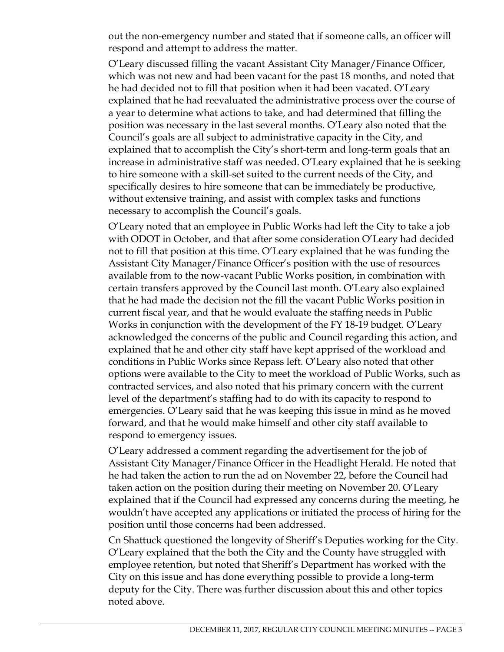out the non-emergency number and stated that if someone calls, an officer will respond and attempt to address the matter.

O'Leary discussed filling the vacant Assistant City Manager/Finance Officer, which was not new and had been vacant for the past 18 months, and noted that he had decided not to fill that position when it had been vacated. O'Leary explained that he had reevaluated the administrative process over the course of a year to determine what actions to take, and had determined that filling the position was necessary in the last several months. O'Leary also noted that the Council's goals are all subject to administrative capacity in the City, and explained that to accomplish the City's short-term and long-term goals that an increase in administrative staff was needed. O'Leary explained that he is seeking to hire someone with a skill-set suited to the current needs of the City, and specifically desires to hire someone that can be immediately be productive, without extensive training, and assist with complex tasks and functions necessary to accomplish the Council's goals.

O'Leary noted that an employee in Public Works had left the City to take a job with ODOT in October, and that after some consideration O'Leary had decided not to fill that position at this time. O'Leary explained that he was funding the Assistant City Manager/Finance Officer's position with the use of resources available from to the now-vacant Public Works position, in combination with certain transfers approved by the Council last month. O'Leary also explained that he had made the decision not the fill the vacant Public Works position in current fiscal year, and that he would evaluate the staffing needs in Public Works in conjunction with the development of the FY 18-19 budget. O'Leary acknowledged the concerns of the public and Council regarding this action, and explained that he and other city staff have kept apprised of the workload and conditions in Public Works since Repass left. O'Leary also noted that other options were available to the City to meet the workload of Public Works, such as contracted services, and also noted that his primary concern with the current level of the department's staffing had to do with its capacity to respond to emergencies. O'Leary said that he was keeping this issue in mind as he moved forward, and that he would make himself and other city staff available to respond to emergency issues.

O'Leary addressed a comment regarding the advertisement for the job of Assistant City Manager/Finance Officer in the Headlight Herald. He noted that he had taken the action to run the ad on November 22, before the Council had taken action on the position during their meeting on November 20. O'Leary explained that if the Council had expressed any concerns during the meeting, he wouldn't have accepted any applications or initiated the process of hiring for the position until those concerns had been addressed.

Cn Shattuck questioned the longevity of Sheriff's Deputies working for the City. O'Leary explained that the both the City and the County have struggled with employee retention, but noted that Sheriff's Department has worked with the City on this issue and has done everything possible to provide a long-term deputy for the City. There was further discussion about this and other topics noted above.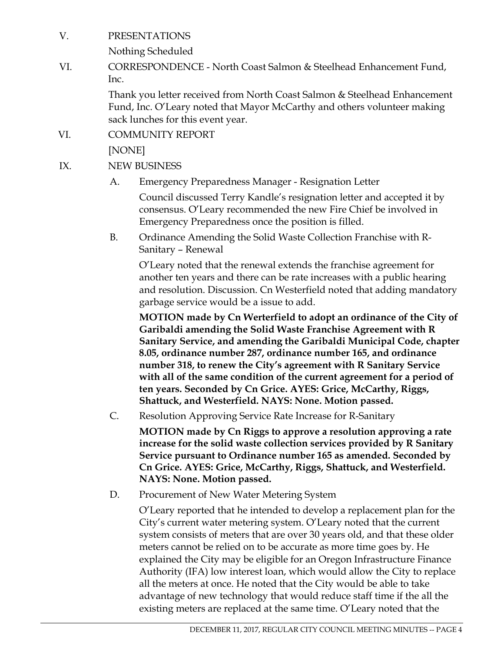#### V. PRESENTATIONS

Nothing Scheduled

VI. CORRESPONDENCE - North Coast Salmon & Steelhead Enhancement Fund, Inc.

> Thank you letter received from North Coast Salmon & Steelhead Enhancement Fund, Inc. O'Leary noted that Mayor McCarthy and others volunteer making sack lunches for this event year.

VI. COMMUNITY REPORT

[NONE]

- IX. NEW BUSINESS
	- A. Emergency Preparedness Manager Resignation Letter

Council discussed Terry Kandle's resignation letter and accepted it by consensus. O'Leary recommended the new Fire Chief be involved in Emergency Preparedness once the position is filled.

B. Ordinance Amending the Solid Waste Collection Franchise with R-Sanitary – Renewal

O'Leary noted that the renewal extends the franchise agreement for another ten years and there can be rate increases with a public hearing and resolution. Discussion. Cn Westerfield noted that adding mandatory garbage service would be a issue to add.

**MOTION made by Cn Werterfield to adopt an ordinance of the City of Garibaldi amending the Solid Waste Franchise Agreement with R Sanitary Service, and amending the Garibaldi Municipal Code, chapter 8.05, ordinance number 287, ordinance number 165, and ordinance number 318, to renew the City's agreement with R Sanitary Service with all of the same condition of the current agreement for a period of ten years. Seconded by Cn Grice. AYES: Grice, McCarthy, Riggs, Shattuck, and Westerfield. NAYS: None. Motion passed.** 

C. Resolution Approving Service Rate Increase for R-Sanitary

**MOTION made by Cn Riggs to approve a resolution approving a rate increase for the solid waste collection services provided by R Sanitary Service pursuant to Ordinance number 165 as amended. Seconded by Cn Grice. AYES: Grice, McCarthy, Riggs, Shattuck, and Westerfield. NAYS: None. Motion passed.**

D. Procurement of New Water Metering System

O'Leary reported that he intended to develop a replacement plan for the City's current water metering system. O'Leary noted that the current system consists of meters that are over 30 years old, and that these older meters cannot be relied on to be accurate as more time goes by. He explained the City may be eligible for an Oregon Infrastructure Finance Authority (IFA) low interest loan, which would allow the City to replace all the meters at once. He noted that the City would be able to take advantage of new technology that would reduce staff time if the all the existing meters are replaced at the same time. O'Leary noted that the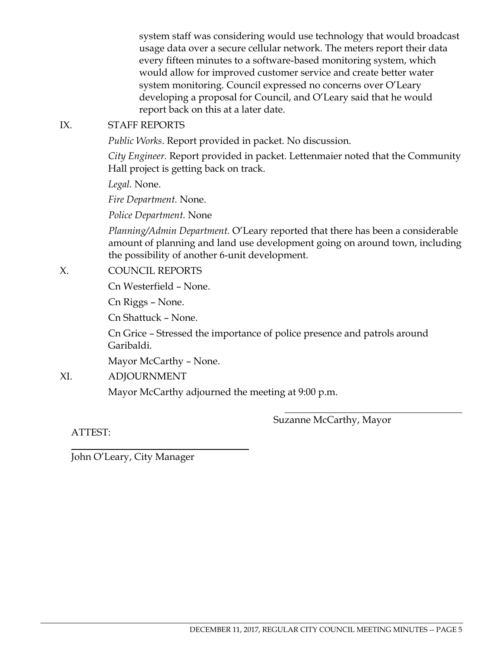system staff was considering would use technology that would broadcast usage data over a secure cellular network. The meters report their data every fifteen minutes to a software-based monitoring system, which would allow for improved customer service and create better water system monitoring. Council expressed no concerns over O'Leary developing a proposal for Council, and O'Leary said that he would report back on this at a later date.

#### IX. STAFF REPORTS

*Public Works*. Report provided in packet. No discussion.

*City Engineer.* Report provided in packet. Lettenmaier noted that the Community Hall project is getting back on track.

*Legal.* None.

*Fire Department.* None.

*Police Department.* None

*Planning/Admin Department.* O'Leary reported that there has been a considerable amount of planning and land use development going on around town, including the possibility of another 6-unit development.

#### X. COUNCIL REPORTS

Cn Westerfield – None.

Cn Riggs – None.

Cn Shattuck – None.

Cn Grice – Stressed the importance of police presence and patrols around Garibaldi.

 $\overline{a}$ 

Mayor McCarthy – None.

XI. ADJOURNMENT

Mayor McCarthy adjourned the meeting at 9:00 p.m.

Suzanne McCarthy, Mayor

ATTEST:

 $\overline{a}$ 

John O'Leary, City Manager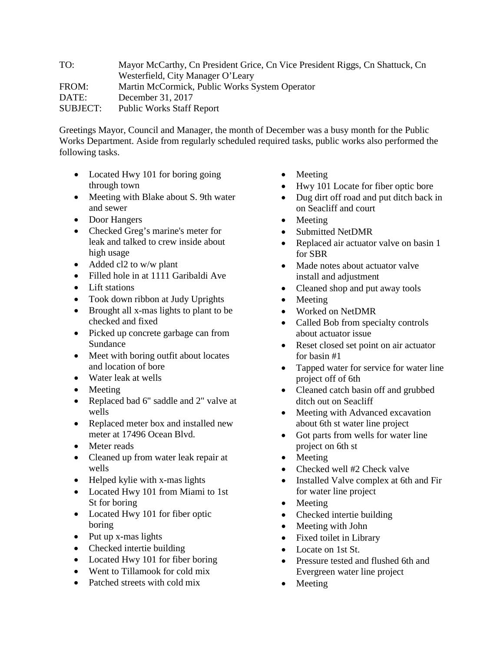TO: Mayor McCarthy, Cn President Grice, Cn Vice President Riggs, Cn Shattuck, Cn Westerfield, City Manager O'Leary FROM: Martin McCormick, Public Works System Operator DATE: December 31, 2017 SUBJECT: Public Works Staff Report

Greetings Mayor, Council and Manager, the month of December was a busy month for the Public Works Department. Aside from regularly scheduled required tasks, public works also performed the following tasks.

- Located Hwy 101 for boring going through town
- Meeting with Blake about S. 9th water and sewer
- Door Hangers
- Checked Greg's marine's meter for leak and talked to crew inside about high usage
- Added cl2 to w/w plant
- Filled hole in at 1111 Garibaldi Ave
- Lift stations
- Took down ribbon at Judy Uprights
- Brought all x-mas lights to plant to be checked and fixed
- Picked up concrete garbage can from Sundance
- Meet with boring outfit about locates and location of bore
- Water leak at wells
- Meeting
- Replaced bad 6" saddle and 2" valve at wells
- Replaced meter box and installed new meter at 17496 Ocean Blvd.
- Meter reads
- Cleaned up from water leak repair at wells
- Helped kylie with x-mas lights
- Located Hwy 101 from Miami to 1st St for boring
- Located Hwy 101 for fiber optic boring
- Put up x-mas lights
- Checked intertie building
- Located Hwy 101 for fiber boring
- Went to Tillamook for cold mix
- Patched streets with cold mix
- Meeting
- Hwy 101 Locate for fiber optic bore
- Dug dirt off road and put ditch back in on Seacliff and court
- Meeting
- Submitted NetDMR
- Replaced air actuator valve on basin 1 for SBR
- Made notes about actuator valve install and adjustment
- Cleaned shop and put away tools
- Meeting
- Worked on NetDMR
- Called Bob from specialty controls about actuator issue
- Reset closed set point on air actuator for basin #1
- Tapped water for service for water line project off of 6th
- Cleaned catch basin off and grubbed ditch out on Seacliff
- Meeting with Advanced excavation about 6th st water line project
- Got parts from wells for water line project on 6th st
- Meeting
- Checked well #2 Check valve
- Installed Valve complex at 6th and Fir for water line project
- Meeting
- Checked intertie building
- Meeting with John
- Fixed toilet in Library
- Locate on 1st St.
- Pressure tested and flushed 6th and Evergreen water line project
- Meeting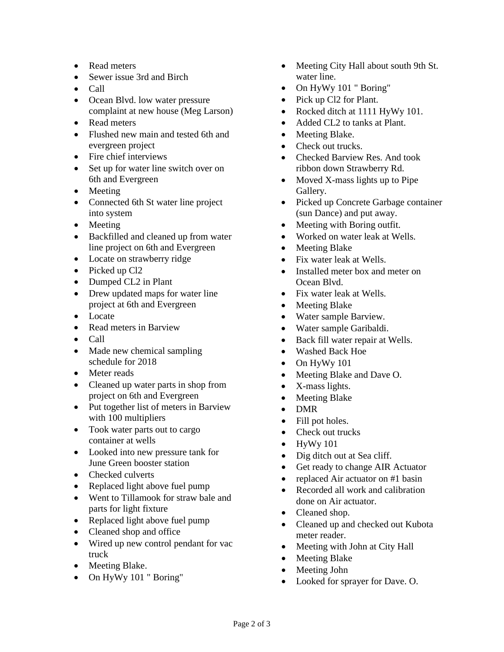- Read meters
- Sewer issue 3rd and Birch
- Call
- Ocean Blvd. low water pressure complaint at new house (Meg Larson)
- Read meters
- Flushed new main and tested 6th and evergreen project
- Fire chief interviews
- Set up for water line switch over on 6th and Evergreen
- Meeting
- Connected 6th St water line project into system
- Meeting
- Backfilled and cleaned up from water line project on 6th and Evergreen
- Locate on strawberry ridge
- Picked up Cl<sub>2</sub>
- Dumped CL2 in Plant
- Drew updated maps for water line project at 6th and Evergreen
- Locate
- Read meters in Barview
- Call
- Made new chemical sampling schedule for 2018
- Meter reads
- Cleaned up water parts in shop from project on 6th and Evergreen
- Put together list of meters in Barview with 100 multipliers
- Took water parts out to cargo container at wells
- Looked into new pressure tank for June Green booster station
- Checked culverts
- Replaced light above fuel pump
- Went to Tillamook for straw bale and parts for light fixture
- Replaced light above fuel pump
- Cleaned shop and office
- Wired up new control pendant for vac truck
- Meeting Blake.
- On HyWy 101 " Boring"
- Meeting City Hall about south 9th St. water line.
- On HyWy 101 " Boring"
- Pick up Cl2 for Plant.
- Rocked ditch at 1111 HyWy 101.
- Added CL2 to tanks at Plant.
- Meeting Blake.
- Check out trucks.
- Checked Barview Res. And took ribbon down Strawberry Rd.
- Moved X-mass lights up to Pipe Gallery.
- Picked up Concrete Garbage container (sun Dance) and put away.
- Meeting with Boring outfit.
- Worked on water leak at Wells.
- Meeting Blake
- Fix water leak at Wells.
- Installed meter box and meter on Ocean Blvd.
- Fix water leak at Wells.
- Meeting Blake
- Water sample Barview.
- Water sample Garibaldi.
- Back fill water repair at Wells.
- Washed Back Hoe
- On HyWy 101
- Meeting Blake and Dave O.
- X-mass lights.
- Meeting Blake
- DMR
- Fill pot holes.
- Check out trucks
- $\bullet$  HyWy 101
- Dig ditch out at Sea cliff.
- Get ready to change AIR Actuator
- replaced Air actuator on #1 basin
- Recorded all work and calibration done on Air actuator.
- Cleaned shop.
- Cleaned up and checked out Kubota meter reader.
- Meeting with John at City Hall
- Meeting Blake
- Meeting John
- Looked for sprayer for Dave. O.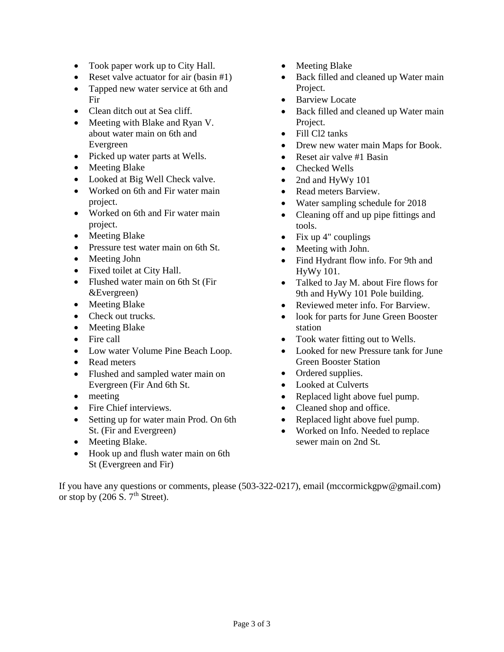- Took paper work up to City Hall.
- Reset valve actuator for air (basin #1)
- Tapped new water service at 6th and Fir
- Clean ditch out at Sea cliff.
- Meeting with Blake and Ryan V. about water main on 6th and Evergreen
- Picked up water parts at Wells.
- Meeting Blake
- Looked at Big Well Check valve.
- Worked on 6th and Fir water main project.
- Worked on 6th and Fir water main project.
- Meeting Blake
- Pressure test water main on 6th St.
- Meeting John
- Fixed toilet at City Hall.
- Flushed water main on 6th St (Fir &Evergreen)
- Meeting Blake
- Check out trucks.
- Meeting Blake
- Fire call
- Low water Volume Pine Beach Loop.
- Read meters
- Flushed and sampled water main on Evergreen (Fir And 6th St.
- meeting
- Fire Chief interviews.
- Setting up for water main Prod. On 6th St. (Fir and Evergreen)
- Meeting Blake.
- Hook up and flush water main on 6th St (Evergreen and Fir)
- Meeting Blake
- Back filled and cleaned up Water main Project.
- Barview Locate
- Back filled and cleaned up Water main Project.
- Fill Cl<sub>2</sub> tanks
- Drew new water main Maps for Book.
- Reset air valve #1 Basin
- Checked Wells
- 2nd and HyWy 101
- Read meters Barview.
- Water sampling schedule for 2018
- Cleaning off and up pipe fittings and tools.
- Fix up  $4$ " couplings
- Meeting with John.
- Find Hydrant flow info. For 9th and HyWy 101.
- Talked to Jay M. about Fire flows for 9th and HyWy 101 Pole building.
- Reviewed meter info. For Barview.
- look for parts for June Green Booster station
- Took water fitting out to Wells.
- Looked for new Pressure tank for June Green Booster Station
- Ordered supplies.
- Looked at Culverts
- Replaced light above fuel pump.
- Cleaned shop and office.
- Replaced light above fuel pump.
- Worked on Info. Needed to replace sewer main on 2nd St.

If you have any questions or comments, please (503-322-0217), email (mccormickgpw@gmail.com) or stop by  $(206 S. 7<sup>th</sup> Street)$ .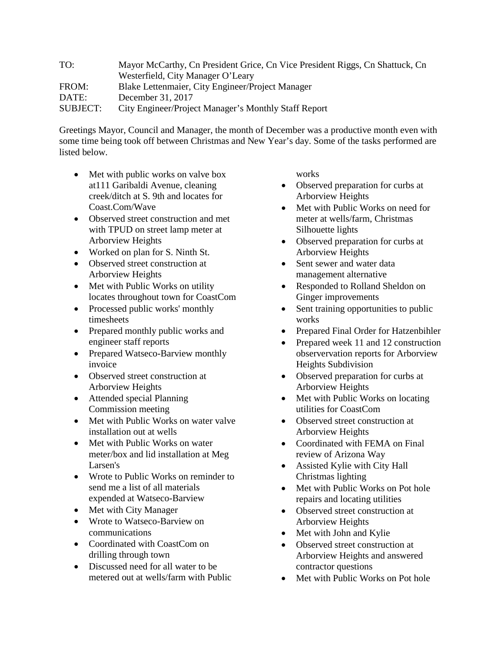TO: Mayor McCarthy, Cn President Grice, Cn Vice President Riggs, Cn Shattuck, Cn Westerfield, City Manager O'Leary FROM: Blake Lettenmaier, City Engineer/Project Manager DATE: December 31, 2017 SUBJECT: City Engineer/Project Manager's Monthly Staff Report

Greetings Mayor, Council and Manager, the month of December was a productive month even with some time being took off between Christmas and New Year's day. Some of the tasks performed are listed below.

- Met with public works on valve box at111 Garibaldi Avenue, cleaning creek/ditch at S. 9th and locates for Coast.Com/Wave
- Observed street construction and met with TPUD on street lamp meter at Arborview Heights
- Worked on plan for S. Ninth St.
- Observed street construction at Arborview Heights
- Met with Public Works on utility locates throughout town for CoastCom
- Processed public works' monthly timesheets
- Prepared monthly public works and engineer staff reports
- Prepared Watseco-Barview monthly invoice
- Observed street construction at Arborview Heights
- Attended special Planning Commission meeting
- Met with Public Works on water valve installation out at wells
- Met with Public Works on water meter/box and lid installation at Meg Larsen's
- Wrote to Public Works on reminder to send me a list of all materials expended at Watseco-Barview
- Met with City Manager
- Wrote to Watseco-Barview on communications
- Coordinated with CoastCom on drilling through town
- Discussed need for all water to be metered out at wells/farm with Public

works

- Observed preparation for curbs at Arborview Heights
- Met with Public Works on need for meter at wells/farm, Christmas Silhouette lights
- Observed preparation for curbs at Arborview Heights
- Sent sewer and water data management alternative
- Responded to Rolland Sheldon on Ginger improvements
- Sent training opportunities to public works
- Prepared Final Order for Hatzenbihler
- Prepared week 11 and 12 construction observervation reports for Arborview Heights Subdivision
- Observed preparation for curbs at Arborview Heights
- Met with Public Works on locating utilities for CoastCom
- Observed street construction at Arborview Heights
- Coordinated with FEMA on Final review of Arizona Way
- Assisted Kylie with City Hall Christmas lighting
- Met with Public Works on Pot hole repairs and locating utilities
- Observed street construction at Arborview Heights
- Met with John and Kylie
- Observed street construction at Arborview Heights and answered contractor questions
- Met with Public Works on Pot hole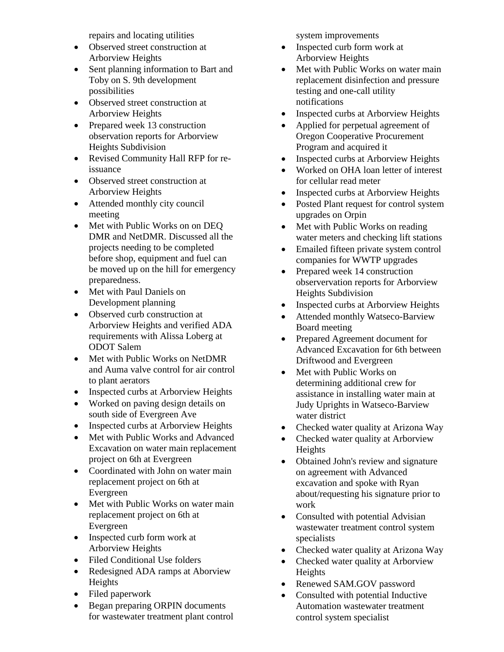repairs and locating utilities

- Observed street construction at Arborview Heights
- Sent planning information to Bart and Toby on S. 9th development possibilities
- Observed street construction at Arborview Heights
- Prepared week 13 construction observation reports for Arborview Heights Subdivision
- Revised Community Hall RFP for reissuance
- Observed street construction at Arborview Heights
- Attended monthly city council meeting
- Met with Public Works on on DEQ DMR and NetDMR. Discussed all the projects needing to be completed before shop, equipment and fuel can be moved up on the hill for emergency preparedness.
- Met with Paul Daniels on Development planning
- Observed curb construction at Arborview Heights and verified ADA requirements with Alissa Loberg at ODOT Salem
- Met with Public Works on NetDMR and Auma valve control for air control to plant aerators
- Inspected curbs at Arborview Heights
- Worked on paving design details on south side of Evergreen Ave
- Inspected curbs at Arborview Heights
- Met with Public Works and Advanced Excavation on water main replacement project on 6th at Evergreen
- Coordinated with John on water main replacement project on 6th at Evergreen
- Met with Public Works on water main replacement project on 6th at Evergreen
- Inspected curb form work at Arborview Heights
- Filed Conditional Use folders
- Redesigned ADA ramps at Aborview Heights
- Filed paperwork
- Began preparing ORPIN documents for wastewater treatment plant control

system improvements

- Inspected curb form work at Arborview Heights
- Met with Public Works on water main replacement disinfection and pressure testing and one-call utility notifications
- Inspected curbs at Arborview Heights
- Applied for perpetual agreement of Oregon Cooperative Procurement Program and acquired it
- Inspected curbs at Arborview Heights
- Worked on OHA loan letter of interest for cellular read meter
- Inspected curbs at Arborview Heights
- Posted Plant request for control system upgrades on Orpin
- Met with Public Works on reading water meters and checking lift stations
- Emailed fifteen private system control companies for WWTP upgrades
- Prepared week 14 construction observervation reports for Arborview Heights Subdivision
- Inspected curbs at Arborview Heights
- Attended monthly Watseco-Barview Board meeting
- Prepared Agreement document for Advanced Excavation for 6th between Driftwood and Evergreen
- Met with Public Works on determining additional crew for assistance in installing water main at Judy Uprights in Watseco-Barview water district
- Checked water quality at Arizona Way
- Checked water quality at Arborview Heights
- Obtained John's review and signature on agreement with Advanced excavation and spoke with Ryan about/requesting his signature prior to work
- Consulted with potential Advisian wastewater treatment control system specialists
- Checked water quality at Arizona Way
- Checked water quality at Arborview Heights
- Renewed SAM.GOV password
- Consulted with potential Inductive Automation wastewater treatment control system specialist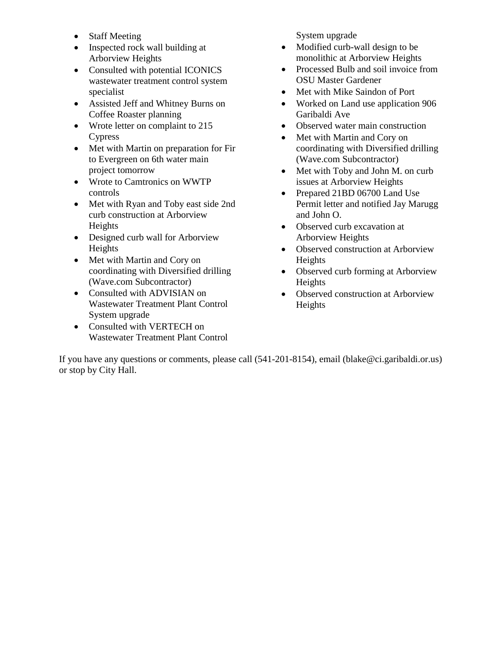- Staff Meeting
- Inspected rock wall building at Arborview Heights
- Consulted with potential ICONICS wastewater treatment control system specialist
- Assisted Jeff and Whitney Burns on Coffee Roaster planning
- Wrote letter on complaint to 215 Cypress
- Met with Martin on preparation for Fir to Evergreen on 6th water main project tomorrow
- Wrote to Camtronics on WWTP controls
- Met with Ryan and Toby east side 2nd curb construction at Arborview Heights
- Designed curb wall for Arborview Heights
- Met with Martin and Cory on coordinating with Diversified drilling (Wave.com Subcontractor)
- Consulted with ADVISIAN on Wastewater Treatment Plant Control System upgrade
- Consulted with VERTECH on Wastewater Treatment Plant Control

System upgrade

- Modified curb-wall design to be monolithic at Arborview Heights
- Processed Bulb and soil invoice from OSU Master Gardener
- Met with Mike Saindon of Port
- Worked on Land use application 906 Garibaldi Ave
- Observed water main construction
- Met with Martin and Cory on coordinating with Diversified drilling (Wave.com Subcontractor)
- Met with Toby and John M. on curb issues at Arborview Heights
- Prepared 21BD 06700 Land Use Permit letter and notified Jay Marugg and John O.
- Observed curb excavation at Arborview Heights
- Observed construction at Arborview Heights
- Observed curb forming at Arborview Heights
- Observed construction at Arborview Heights

If you have any questions or comments, please call (541-201-8154), email (blake@ci.garibaldi.or.us) or stop by City Hall.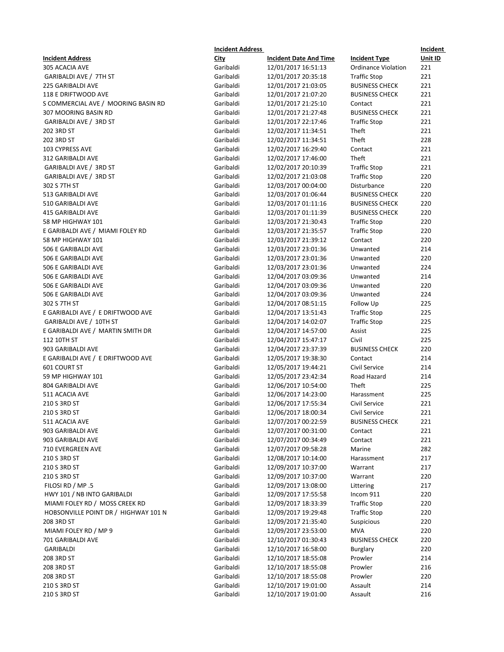|                                      | <b>Incident Address</b> |                                            |                            | Incident   |
|--------------------------------------|-------------------------|--------------------------------------------|----------------------------|------------|
| <b>Incident Address</b>              | City                    | <b>Incident Date And Time</b>              | <b>Incident Type</b>       | Unit ID    |
| 305 ACACIA AVE                       | Garibaldi               | 12/01/2017 16:51:13                        | <b>Ordinance Violation</b> | 221        |
| GARIBALDI AVE / 7TH ST               | Garibaldi               | 12/01/2017 20:35:18                        | <b>Traffic Stop</b>        | 221        |
| 225 GARIBALDI AVE                    | Garibaldi               | 12/01/2017 21:03:05                        | <b>BUSINESS CHECK</b>      | 221        |
| 118 E DRIFTWOOD AVE                  | Garibaldi               | 12/01/2017 21:07:20                        | <b>BUSINESS CHECK</b>      | 221        |
| S COMMERCIAL AVE / MOORING BASIN RD  | Garibaldi               | 12/01/2017 21:25:10                        | Contact                    | 221        |
| 307 MOORING BASIN RD                 | Garibaldi               | 12/01/2017 21:27:48                        | <b>BUSINESS CHECK</b>      | 221        |
| GARIBALDI AVE / 3RD ST               | Garibaldi               | 12/01/2017 22:17:46                        | <b>Traffic Stop</b>        | 221        |
| 202 3RD ST                           | Garibaldi               | 12/02/2017 11:34:51                        | Theft                      | 221        |
| 202 3RD ST                           | Garibaldi               | 12/02/2017 11:34:51                        | Theft                      | 228        |
| 103 CYPRESS AVE                      | Garibaldi               | 12/02/2017 16:29:40                        | Contact                    | 221        |
| 312 GARIBALDI AVE                    | Garibaldi               | 12/02/2017 17:46:00                        | Theft                      | 221        |
| GARIBALDI AVE / 3RD ST               | Garibaldi               | 12/02/2017 20:10:39                        | <b>Traffic Stop</b>        | 221        |
| GARIBALDI AVE / 3RD ST               | Garibaldi               | 12/02/2017 21:03:08                        | <b>Traffic Stop</b>        | 220        |
| 302 S 7TH ST                         | Garibaldi               | 12/03/2017 00:04:00                        | Disturbance                | 220        |
| 513 GARIBALDI AVE                    | Garibaldi               | 12/03/2017 01:06:44                        | <b>BUSINESS CHECK</b>      | 220        |
| 510 GARIBALDI AVE                    | Garibaldi               | 12/03/2017 01:11:16                        | <b>BUSINESS CHECK</b>      | 220        |
| <b>415 GARIBALDI AVE</b>             | Garibaldi               | 12/03/2017 01:11:39                        | <b>BUSINESS CHECK</b>      | 220        |
| 58 MP HIGHWAY 101                    | Garibaldi               | 12/03/2017 21:30:43                        | <b>Traffic Stop</b>        | 220        |
| E GARIBALDI AVE / MIAMI FOLEY RD     | Garibaldi               | 12/03/2017 21:35:57                        | <b>Traffic Stop</b>        | 220        |
| 58 MP HIGHWAY 101                    | Garibaldi               | 12/03/2017 21:39:12                        | Contact                    | 220        |
| 506 E GARIBALDI AVE                  | Garibaldi               | 12/03/2017 23:01:36                        | Unwanted                   | 214        |
| 506 E GARIBALDI AVE                  | Garibaldi               | 12/03/2017 23:01:36                        | Unwanted                   | 220        |
| 506 E GARIBALDI AVE                  | Garibaldi               | 12/03/2017 23:01:36                        | Unwanted                   | 224        |
| 506 E GARIBALDI AVE                  | Garibaldi               | 12/04/2017 03:09:36                        | Unwanted                   | 214        |
| 506 E GARIBALDI AVE                  | Garibaldi               | 12/04/2017 03:09:36                        | Unwanted                   | 220        |
| 506 E GARIBALDI AVE                  | Garibaldi               | 12/04/2017 03:09:36                        | Unwanted                   | 224        |
| 302 S 7TH ST                         | Garibaldi               | 12/04/2017 08:51:15                        | Follow Up                  | 225        |
| E GARIBALDI AVE / E DRIFTWOOD AVE    | Garibaldi               | 12/04/2017 13:51:43                        | <b>Traffic Stop</b>        | 225        |
| GARIBALDI AVE / 10TH ST              | Garibaldi               | 12/04/2017 14:02:07                        | <b>Traffic Stop</b>        | 225        |
| E GARIBALDI AVE / MARTIN SMITH DR    | Garibaldi               | 12/04/2017 14:57:00                        | Assist                     | 225        |
|                                      | Garibaldi               | 12/04/2017 15:47:17                        | Civil                      | 225        |
| 112 10TH ST                          | Garibaldi               |                                            |                            | 220        |
| 903 GARIBALDI AVE                    |                         | 12/04/2017 23:37:39                        | <b>BUSINESS CHECK</b>      |            |
| E GARIBALDI AVE / E DRIFTWOOD AVE    | Garibaldi<br>Garibaldi  | 12/05/2017 19:38:30<br>12/05/2017 19:44:21 | Contact<br>Civil Service   | 214<br>214 |
| 601 COURT ST                         |                         |                                            |                            |            |
| 59 MP HIGHWAY 101                    | Garibaldi               | 12/05/2017 23:42:34                        | Road Hazard                | 214        |
| 804 GARIBALDI AVE                    | Garibaldi<br>Garibaldi  | 12/06/2017 10:54:00                        | Theft                      | 225        |
| 511 ACACIA AVE                       |                         | 12/06/2017 14:23:00                        | Harassment                 | 225        |
| 210 S 3RD ST                         | Garibaldi               | 12/06/2017 17:55:34                        | Civil Service              | 221        |
| 210 S 3RD ST                         | Garibaldi               | 12/06/2017 18:00:34                        | Civil Service              | 221        |
| 511 ACACIA AVE                       | Garibaldi               | 12/07/2017 00:22:59                        | <b>BUSINESS CHECK</b>      | 221        |
| 903 GARIBALDI AVE                    | Garibaldi               | 12/07/2017 00:31:00                        | Contact                    | 221        |
| 903 GARIBALDI AVE                    | Garibaldi               | 12/07/2017 00:34:49                        | Contact                    | 221        |
| 710 EVERGREEN AVE                    | Garibaldi               | 12/07/2017 09:58:28                        | Marine                     | 282        |
| 210 S 3RD ST                         | Garibaldi               | 12/08/2017 10:14:00                        | Harassment                 | 217        |
| 210 S 3RD ST                         | Garibaldi               | 12/09/2017 10:37:00                        | Warrant                    | 217        |
| 210 S 3RD ST                         | Garibaldi               | 12/09/2017 10:37:00                        | Warrant                    | 220        |
| FILOSI RD / MP .5                    | Garibaldi               | 12/09/2017 13:08:00                        | Littering                  | 217        |
| HWY 101 / NB INTO GARIBALDI          | Garibaldi               | 12/09/2017 17:55:58                        | Incom 911                  | 220        |
| MIAMI FOLEY RD / MOSS CREEK RD       | Garibaldi               | 12/09/2017 18:33:39                        | <b>Traffic Stop</b>        | 220        |
| HOBSONVILLE POINT DR / HIGHWAY 101 N | Garibaldi               | 12/09/2017 19:29:48                        | <b>Traffic Stop</b>        | 220        |
| 208 3RD ST                           | Garibaldi               | 12/09/2017 21:35:40                        | Suspicious                 | 220        |
| MIAMI FOLEY RD / MP 9                | Garibaldi               | 12/09/2017 23:53:00                        | <b>MVA</b>                 | 220        |
| 701 GARIBALDI AVE                    | Garibaldi               | 12/10/2017 01:30:43                        | <b>BUSINESS CHECK</b>      | 220        |
| GARIBALDI                            | Garibaldi               | 12/10/2017 16:58:00                        | <b>Burglary</b>            | 220        |
| 208 3RD ST                           | Garibaldi               | 12/10/2017 18:55:08                        | Prowler                    | 214        |
| 208 3RD ST                           | Garibaldi               | 12/10/2017 18:55:08                        | Prowler                    | 216        |
| 208 3RD ST                           | Garibaldi               | 12/10/2017 18:55:08                        | Prowler                    | 220        |
| 210 S 3RD ST                         | Garibaldi               | 12/10/2017 19:01:00                        | Assault                    | 214        |
| 210 S 3RD ST                         | Garibaldi               | 12/10/2017 19:01:00                        | Assault                    | 216        |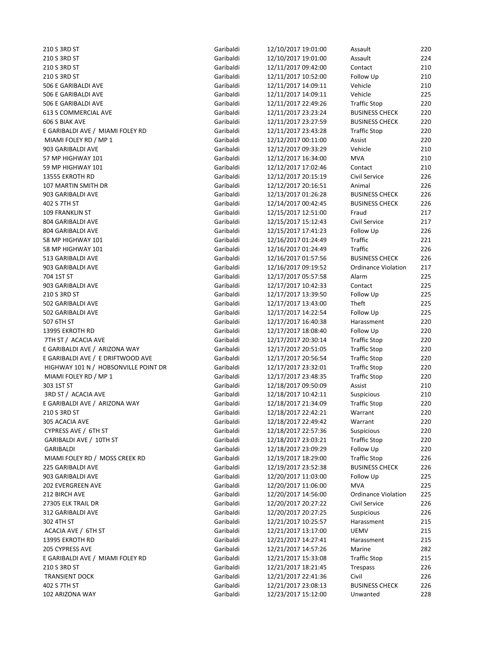210 S 3RD ST Garibaldi 12/10/2017 19:01:00 Assault 220 210 S 3RD ST Garibaldi 12/10/2017 19:01:00 Assault 224 210 S 3RD ST Garibaldi 12/11/2017 09:42:00 Contact 210 210 S 3RD ST Garibaldi 12/11/2017 10:52:00 Follow Up 210 506 E GARIBALDI AVE Garibaldi 12 506 E GARIBALDI AVE GARIBALDI AVE 506 E GARIBALDI AVE Garibaldi 12 613 S COMMERCIAL AVE Garibaldi 12 606 S BIAK AVE Garibaldi 12/11/2017 23:27:59 BUSINESS CHECK 220 E GARIBALDI AVE / MIAMI FOLEY RD Garibaldi 12 MIAMI FOLEY RD / MP 1 Garibaldi 12 903 GARIBALDI AVE Garibaldi 12 57 MP HIGHWAY 101 **Garibaldi** 12 59 MP HIGHWAY 101 **Garibaldi** 12 13555 EKROTH RD Garibaldi 12 107 MARTIN SMITH DR Garibaldi 12 903 GARIBALDI AVE Garibaldi 12 402 S 7TH ST Garibaldi 12/14/2017 00:42:45 BUSINESS CHECK 226 109 FRANKLIN ST Garibaldi 12 804 GARIBALDI AVE Garibaldi 12 804 GARIBALDI AVE Garibaldi 12/15/2017 17:41:23 Follow Up 226 58 MP HIGHWAY 101 Caribaldi 12 58 MP HIGHWAY 101 **Garibaldi** 12 513 GARIBALDI AVE Garibaldi 12 903 GARIBALDI AVE GARIBALDI AVE GARIBALDI AVE GARIBALDI AVE GARIBALDI AVE GARIBALDI AVE GARIBALDI AVE GARIBALD 704 1ST ST Garibaldi 12/17/2017 05:57:58 Alarm 225 903 GARIBALDI AVE Garibaldi 12 210 S 3RD ST Garibaldi 12/17/2017 13:39:50 Follow Up 225 502 GARIBALDI AVE **Garibaldi** 12 502 GARIBALDI AVE Garibaldi 12 507 6TH ST Garibaldi 12/17/2017 16:40:38 Harassment 220 13995 EKROTH RD Garibaldi 12 7TH ST / ACACIA AVE Garibaldi 12 E GARIBALDI AVE / ARIZONA WAY Garibaldi 12 E GARIBALDI AVE / E DRIFTWOOD AVE discussed that the Garibaldi 12 HIGHWAY 101 N / HOBSONVILLE POINT DR Garibaldi 12 MIAMI FOLEY RD / MP 1 Garibaldi 12 303 1ST ST Garibaldi 12/18/2017 09:50:09 Assist 210 3RD ST / ACACIA AVE Garibaldi 12/18/2017 10:42:11 Suspicious 210 E GARIBALDI AVE / ARIZONA WAY Garibaldi 12 210 S 3RD ST Garibaldi 12/18/2017 22:42:21 Warrant 220 305 ACACIA AVE Garibaldi 12/18/2017 22:49:42 Warrant 220 CYPRESS AVE / 6TH ST Garibaldi 12/18/2017 22:57:36 Suspicious 22007 22:57:36 GARIBALDI AVE / 10TH ST Garibaldi 12 GARIBALDI Garibaldi 12/18/2017 23:09:29 Follow Up 220 MIAMI FOLEY RD / MOSS CREEK RD Garibaldi 12 225 GARIBALDI AVE Garibaldi 12/19/2017 23:52:38 BUSINESS CHECK 226 903 GARIBALDI AVE Garibaldi 12/20/2017 11:03:00 Follow Up 225 202 EVERGREEN AVE **Garibaldi** 12/20/2017 11:06:00 212 BIRCH AVE Garibaldi 12/20/2017 14:56:00 Ordinance Violation 225 27305 ELK TRAIL DR Garibaldi 12 312 GARIBALDI AVE Garibaldi 12 302 4TH ST Garibaldi 12/21/2017 10:25:57 Harassment 215 ACACIA AVE / 6TH ST Garibaldi 12/21/2017 13:17:00 UEMV 215 13995 EKROTH RD Garibaldi 12 205 CYPRESS AVE **CHARGE CONSUMING CONTRACT CONSUMING CONSUMING CONSUMING CONTRACT CONSUMING CONSUMING CONSUMING CONSUMING CONSUMING CONSUMING CONSUMING CONSUMING CONSUMING CONSUMING CONSUMING CONSUMING CONSUMING CONSUMING** E GARIBALDI AVE / MIAMI FOLEY RD Garibaldi 12 210 S 3RD ST Garibaldi 12/21/2017 18:21:45 Trespass 226 TRANSIENT DOCK **CONSISTING CONTRANSIENT DOCK** Garibaldi 12/21/2017 22:41:36 C 402 S 7TH ST Garibaldi 12/21/2017 23:08:13 BUSINESS CHECK 226 102 ARIZONA WAY **ARIZONA WAY CALCULATE CONSUMING A CALCULATE CONSUMING A CALCULATE CONSUMING A CALCULATE CONSUMI** 

| !/10/2017 19:01:00                       |
|------------------------------------------|
| !/10/2017 19:01:00                       |
| 2/11/2017 09:42:00                       |
| 1/11/2017 10:52:00                       |
| !/11/2017 14:09:11                       |
| 2/11/2017 14:09:11                       |
| 2/11/2017 22:49:26                       |
|                                          |
| 2/11/2017 23:23:24                       |
| 2/11/2017 23:27:59                       |
| 2/11/2017 23:43:28                       |
| !/12/2017 00:11:00                       |
| 2/12/2017 09:33:29                       |
| 2/12/2017 16:34:00                       |
| 2/12/2017 17:02:46                       |
| 2/12/2017 20:15:19                       |
|                                          |
| !/12/2017 20:16:51                       |
| 2/13/2017 01:26:28                       |
| 2/14/2017 00:42:45                       |
| 2/15/2017 12:51:00                       |
| 2/15/2017 15:12:43                       |
| 2/15/2017 17:41:23                       |
| 2/16/2017 01:24:49                       |
| 2/16/2017 01:24:49                       |
| 2/16/2017 01:57:56                       |
|                                          |
| 2/16/2017 09:19:52                       |
| !/17/2017 05:57:58                       |
| !/17/2017 10:42:33                       |
| !/17/2017 13:39:50                       |
| !/17/2017 13:43:00                       |
| !/17/2017 14:22:54                       |
| 2/17/2017 16:40:38                       |
| 2/17/2017 18:08:40                       |
| !/17/2017 20:30:14                       |
| !/17/2017 20:51:05                       |
|                                          |
| !/17/2017 20:56:54                       |
| !/17/2017 23:32:01                       |
| !/17/2017 23:48:35                       |
| !/18/2017 09:50:09                       |
| 2/18/2017 10:42:11                       |
| 2/18/2017 21:34:09                       |
| 2/18/2017 22:42:21                       |
| 2/18/2017 22:49:42                       |
| 2/18/2017 22:57:36                       |
| 2/18/2017 23:03:21                       |
|                                          |
| 2/18/2017 23:09:29                       |
| !/19/2017 18:29:00                       |
| 2/19/2017 23:52:38                       |
| 2/20/2017 11:03:00                       |
| 2/20/2017 11:06:00                       |
| 2/20/2017 14:56:00                       |
| 2/20/2017 20:27:22                       |
| 2/20/2017 20:27:25                       |
|                                          |
| 2/21/2017 10:25:57                       |
| 2/21/2017 13:17:00                       |
| 2/21/2017 14:27:41                       |
| 2/21/2017 14:57:26                       |
|                                          |
|                                          |
| 2/21/2017 15:33:08<br>2/21/2017 18:21:45 |
|                                          |
| 2/21/2017 22:41:36<br>2/21/2017 23:08:13 |

| Assault               | 220 |
|-----------------------|-----|
| Assault               | 224 |
| Contact               | 210 |
| ollow Up              | 210 |
| /ehicle               | 210 |
| /ehicle               | 225 |
| <b>Traffic Stop</b>   | 220 |
| <b>BUSINESS CHECK</b> | 220 |
| <b>BUSINESS CHECK</b> | 220 |
| <b>Traffic Stop</b>   | 220 |
| Assist                | 220 |
| /ehicle               | 210 |
| MVA                   | 210 |
| Contact               | 210 |
| Civil Service         | 226 |
| Animal                | 226 |
| <b>BUSINESS CHECK</b> | 226 |
| <b>BUSINESS CHECK</b> | 226 |
| raud                  | 217 |
| Civil Service         | 217 |
| ollow Up              | 226 |
| ⊺raffic               | 221 |
| ⊺raffic               | 226 |
| <b>BUSINESS CHECK</b> | 226 |
| Ordinance Violation   | 217 |
| Narm                  | 225 |
| Contact               | 225 |
| ollow Up              | 225 |
| Theft                 | 225 |
| ollow Up              | 225 |
| <b>Harassment</b>     | 220 |
| ollow Up              | 220 |
| <b>Traffic Stop</b>   | 220 |
| <b>Traffic Stop</b>   | 220 |
| <b>Traffic Stop</b>   | 220 |
| <b>Traffic Stop</b>   | 220 |
| <b>Traffic Stop</b>   | 220 |
| Assist                | 210 |
| <b>Suspicious</b>     | 210 |
| <b>Traffic Stop</b>   | 220 |
| Narrant               | 220 |
| Narrant               | 220 |
| suspicious            | 220 |
| <b>Traffic Stop</b>   | 220 |
| ollow Up              | 220 |
| <b>Traffic Stop</b>   | 226 |
| <b>BUSINESS CHECK</b> | 226 |
| ollow Up              | 225 |
| <b>MVA</b>            | 225 |
| Ordinance Violation   | 225 |
| Civil Service         | 226 |
| suspicious            | 226 |
| <b>Harassment</b>     | 215 |
| JEMV                  | 215 |
| <b>Harassment</b>     | 215 |
| Marine                | 282 |
| Traffic Stop          | 215 |
| Trespass              | 226 |
| Civil                 | 226 |
| <b>BUSINESS CHECK</b> | 226 |
| Jnwanted              | 228 |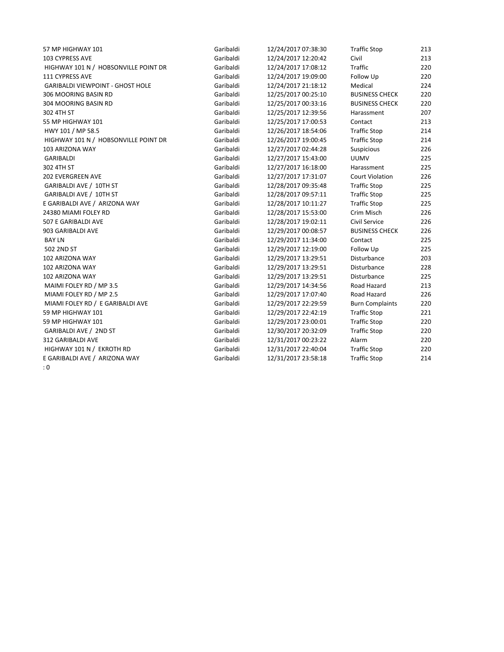57 MP HIGHWAY 101 Garibaldi 12/24/2017 07:38:30 Traffic Stop 213 103 CYPRESS AVE Garibaldi 12/24/2017 12:20:42 Civil 213 HIGHWAY 101 N / HOBSONVILLE POINT DR Garibaldi 12/24/2017 17:08:12 Traffic 220 111 CYPRESS AVE Garibaldi 12/24/2017 19:09:00 Follow Up 220 GARIBALDI VIEWPOINT - GHOST HOLE Garibaldi 12/24/2017 21:18:12 Medical 224 306 MOORING BASIN RD Garibaldi 12/25/2017 00:25:10 BUSINESS CHECK 220 304 MOORING BASIN RD Garibaldi 12/25/2017 00:33:16 BUSINESS CHECK 220 302 4TH ST Garibaldi 12/25/2017 12:39:56 Harassment 207 55 MP HIGHWAY 101 Garibaldi 12/25/2017 17:00:53 Contact 213 HWY 101 / MP 58.5 Garibaldi 12/26/2017 18:54:06 Traffic Stop 214 HIGHWAY 101 N / HOBSONVILLE POINT DR Garibaldi 12/26/2017 19:00:45 Traffic Stop 214 103 ARIZONA WAY Garibaldi 12/27/2017 02:44:28 Suspicious 226 GARIBALDI Garibaldi 12/27/2017 15:43:00 UUMV 225 302 4TH ST Garibaldi 12/27/2017 16:18:00 Harassment 225 202 EVERGREEN AVE Garibaldi 12/27/2017 17:31:07 Court Violation 226 GARIBALDI AVE / 10TH ST **Garibaldi** 12/28/2017 09:35:48 Traffic Stop 225 GARIBALDI AVE / 10TH ST **Garibaldi** 12/28/2017 09:57:11 Traffic Stop 225 E GARIBALDI AVE / ARIZONA WAY Garibaldi 12/28/2017 10:11:27 Traffic Stop 225 24380 MIAMI FOLEY RD Garibaldi 12/28/2017 15:53:00 Crim Misch 226 507 E GARIBALDI AVE Garibaldi 12/28/2017 19:02:11 Civil Service 226 903 GARIBALDI AVE Garibaldi 12/29/2017 00:08:57 BUSINESS CHECK 226 BAY LN Garibaldi 12/29/2017 11:34:00 Contact 225 502 2ND ST Garibaldi 12/29/2017 12:19:00 Follow Up 225 102 ARIZONA WAY Garibaldi 12/29/2017 13:29:51 Disturbance 203 102 ARIZONA WAY Garibaldi 12/29/2017 13:29:51 Disturbance 228 102 ARIZONA WAY Garibaldi 12/29/2017 13:29:51 Disturbance 225 MAIMI FOLEY RD / MP 3.5 Caribaldi 12/29/2017 14:34:56 Road Hazard 213 MIAMI FOLEY RD / MP 2.5 Garibaldi 12/29/2017 17:07:40 Road Hazard 226 MIAMI FOLEY RD / E GARIBALDI AVE GARIO Garibaldi 12/29/2017 22:29:59 Burn Complaints 220 59 MP HIGHWAY 101 Garibaldi 12/29/2017 22:42:19 Traffic Stop 221 59 MP HIGHWAY 101 Garibaldi 12/29/2017 23:00:01 Traffic Stop 220 GARIBALDI AVE / 2ND ST 220 Caribaldi 12/30/2017 20:32:09 Traffic Stop 220 312 GARIBALDI AVE Garibaldi 12/31/2017 00:23:22 Alarm 220 HIGHWAY 101 N / EKROTH RD Garibaldi 12/31/2017 22:40:04 Traffic Stop 220 E GARIBALDI AVE / ARIZONA WAY Garibaldi 12/31/2017 23:58:18 Traffic Stop 214 : 0

| 07:38:30 | <b>Traffic Stop</b>    | 21              |
|----------|------------------------|-----------------|
| 12:20:42 | Civil                  | 21              |
| 17:08:12 | <b>Traffic</b>         | 22              |
| 19:09:00 | Follow Up              | 22              |
| 21:18:12 | Medical                | 22 <sub>0</sub> |
| 00:25:10 | <b>BUSINESS CHECK</b>  | 22              |
| 00:33:16 | <b>BUSINESS CHECK</b>  | 22              |
| 12:39:56 | Harassment             | 20              |
| 17:00:53 | Contact                | 21              |
| 18:54:06 | <b>Traffic Stop</b>    | 21 <sub>0</sub> |
| 19:00:45 | <b>Traffic Stop</b>    | 21              |
| 02:44:28 | Suspicious             | 22              |
| 15:43:00 | <b>UUMV</b>            | 22              |
| 16:18:00 | Harassment             | 22              |
| 17:31:07 | <b>Court Violation</b> | 22              |
| 09:35:48 | <b>Traffic Stop</b>    | 22              |
| 09:57:11 | <b>Traffic Stop</b>    | 22              |
| 10:11:27 | <b>Traffic Stop</b>    | 22              |
| 15:53:00 | Crim Misch             | 22              |
| 19:02:11 | Civil Service          | 22              |
| 00:08:57 | <b>BUSINESS CHECK</b>  | 22              |
| 11:34:00 | Contact                | 22              |
| 12:19:00 | Follow Up              | 22              |
| 13:29:51 | Disturbance            | 20              |
| 13:29:51 | Disturbance            | 22              |
| 13:29:51 | Disturbance            | 22              |
| 14:34:56 | Road Hazard            | 21              |
| 17:07:40 | Road Hazard            | 22              |
| 22:29:59 | <b>Burn Complaints</b> | 22              |
| 22:42:19 | <b>Traffic Stop</b>    | 22              |
| 23:00:01 | <b>Traffic Stop</b>    | 22              |
| 20:32:09 | <b>Traffic Stop</b>    | 22              |
| 00:23:22 | Alarm                  | 22              |
| 22:40:04 | <b>Traffic Stop</b>    | 22              |
| 23:58:18 | <b>Traffic Stop</b>    | 21              |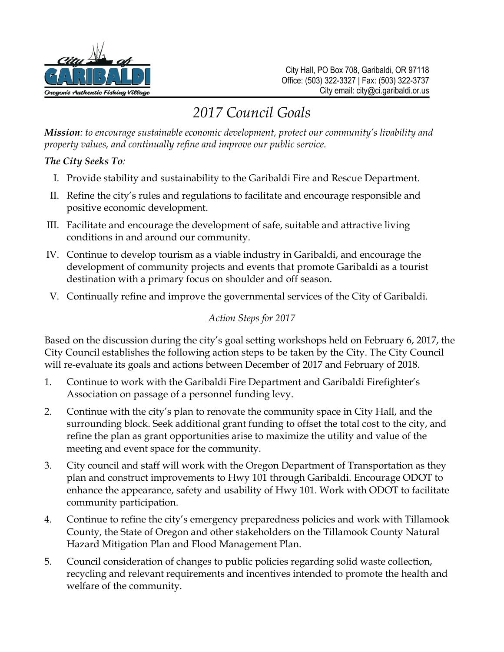

# *2017 Council Goals*

*Mission: to encourage sustainable economic development, protect our community's livability and property values, and continually refine and improve our public service.*

*The City Seeks To:* 

- I. Provide stability and sustainability to the Garibaldi Fire and Rescue Department.
- II. Refine the city's rules and regulations to facilitate and encourage responsible and positive economic development.
- III. Facilitate and encourage the development of safe, suitable and attractive living conditions in and around our community.
- IV. Continue to develop tourism as a viable industry in Garibaldi, and encourage the development of community projects and events that promote Garibaldi as a tourist destination with a primary focus on shoulder and off season.
- V. Continually refine and improve the governmental services of the City of Garibaldi.

#### *Action Steps for 2017*

Based on the discussion during the city's goal setting workshops held on February 6, 2017, the City Council establishes the following action steps to be taken by the City. The City Council will re-evaluate its goals and actions between December of 2017 and February of 2018.

- 1. Continue to work with the Garibaldi Fire Department and Garibaldi Firefighter's Association on passage of a personnel funding levy.
- 2. Continue with the city's plan to renovate the community space in City Hall, and the surrounding block. Seek additional grant funding to offset the total cost to the city, and refine the plan as grant opportunities arise to maximize the utility and value of the meeting and event space for the community.
- 3. City council and staff will work with the Oregon Department of Transportation as they plan and construct improvements to Hwy 101 through Garibaldi. Encourage ODOT to enhance the appearance, safety and usability of Hwy 101. Work with ODOT to facilitate community participation.
- 4. Continue to refine the city's emergency preparedness policies and work with Tillamook County, the State of Oregon and other stakeholders on the Tillamook County Natural Hazard Mitigation Plan and Flood Management Plan.
- 5. Council consideration of changes to public policies regarding solid waste collection, recycling and relevant requirements and incentives intended to promote the health and welfare of the community.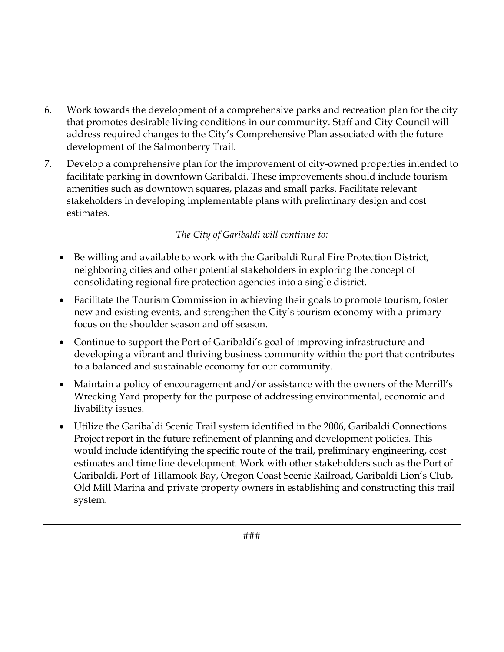- 6. Work towards the development of a comprehensive parks and recreation plan for the city that promotes desirable living conditions in our community. Staff and City Council will address required changes to the City's Comprehensive Plan associated with the future development of the Salmonberry Trail.
- 7. Develop a comprehensive plan for the improvement of city-owned properties intended to facilitate parking in downtown Garibaldi. These improvements should include tourism amenities such as downtown squares, plazas and small parks. Facilitate relevant stakeholders in developing implementable plans with preliminary design and cost estimates.

## *The City of Garibaldi will continue to:*

- Be willing and available to work with the Garibaldi Rural Fire Protection District, neighboring cities and other potential stakeholders in exploring the concept of consolidating regional fire protection agencies into a single district.
- Facilitate the Tourism Commission in achieving their goals to promote tourism, foster new and existing events, and strengthen the City's tourism economy with a primary focus on the shoulder season and off season.
- Continue to support the Port of Garibaldi's goal of improving infrastructure and developing a vibrant and thriving business community within the port that contributes to a balanced and sustainable economy for our community.
- Maintain a policy of encouragement and/or assistance with the owners of the Merrill's Wrecking Yard property for the purpose of addressing environmental, economic and livability issues.
- Utilize the Garibaldi Scenic Trail system identified in the 2006, Garibaldi Connections Project report in the future refinement of planning and development policies. This would include identifying the specific route of the trail, preliminary engineering, cost estimates and time line development. Work with other stakeholders such as the Port of Garibaldi, Port of Tillamook Bay, Oregon Coast Scenic Railroad, Garibaldi Lion's Club, Old Mill Marina and private property owners in establishing and constructing this trail system.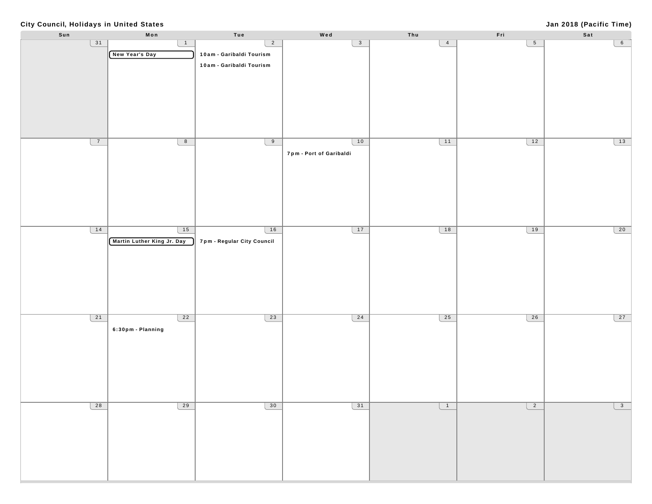#### **City Council, Holidays in United States**

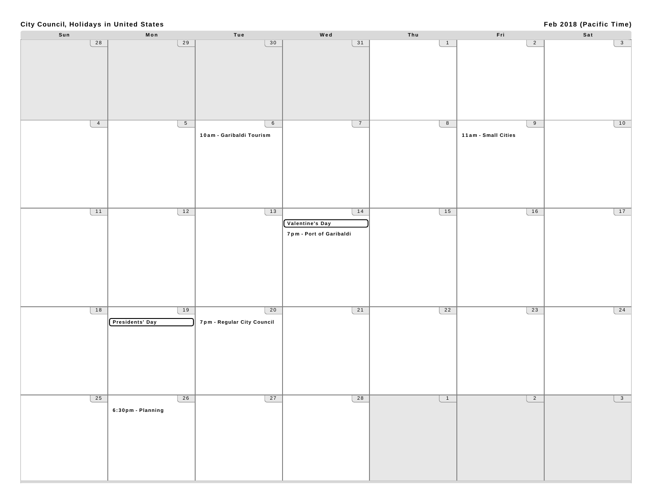